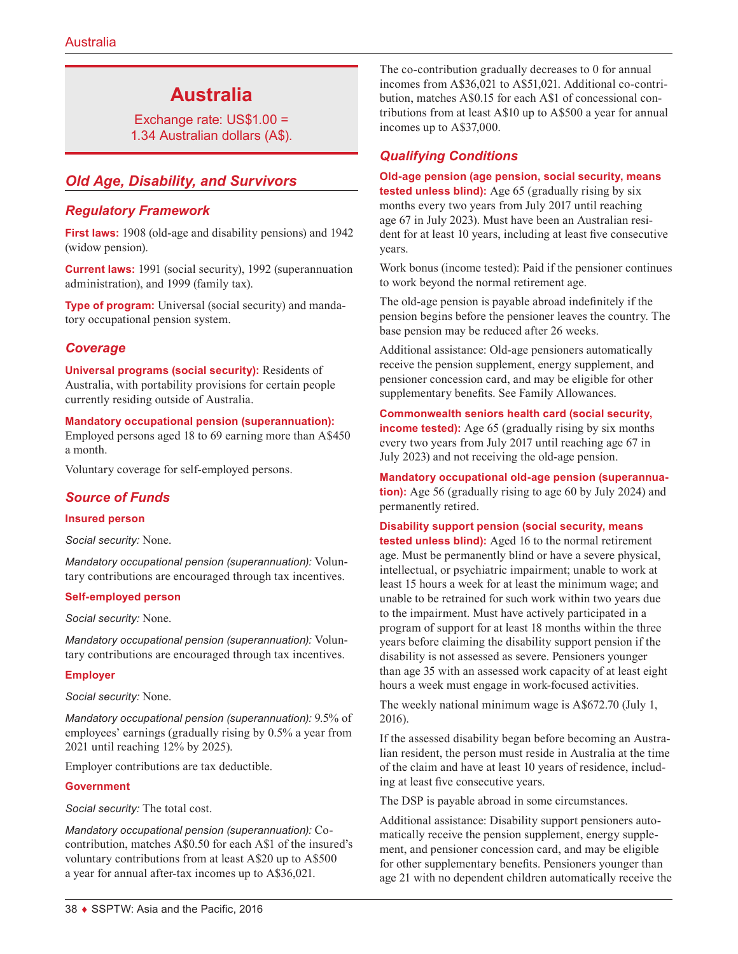# **Australia**

Exchange rate: US\$1.00 = 1.34 Australian dollars (A\$).

# *Old Age, Disability, and Survivors*

# *Regulatory Framework*

**First laws:** 1908 (old-age and disability pensions) and 1942 (widow pension).

**Current laws:** 1991 (social security), 1992 (superannuation administration), and 1999 (family tax).

**Type of program:** Universal (social security) and mandatory occupational pension system.

# *Coverage*

**Universal programs (social security):** Residents of Australia, with portability provisions for certain people currently residing outside of Australia.

**Mandatory occupational pension (superannuation):**

Employed persons aged 18 to 69 earning more than A\$450 a month.

Voluntary coverage for self-employed persons.

# *Source of Funds*

#### **Insured person**

*Social security:* None.

*Mandatory occupational pension (superannuation):* Voluntary contributions are encouraged through tax incentives.

#### **Self-employed person**

*Social security:* None.

*Mandatory occupational pension (superannuation):* Voluntary contributions are encouraged through tax incentives.

#### **Employer**

*Social security:* None.

*Mandatory occupational pension (superannuation):* 9.5% of employees' earnings (gradually rising by 0.5% a year from 2021 until reaching 12% by 2025).

Employer contributions are tax deductible.

#### **Government**

*Social security:* The total cost.

*Mandatory occupational pension (superannuation):* Cocontribution, matches A\$0.50 for each A\$1 of the insured's voluntary contributions from at least A\$20 up to A\$500 a year for annual after-tax incomes up to A\$36,021.

The co-contribution gradually decreases to 0 for annual incomes from A\$36,021 to A\$51,021. Additional co-contribution, matches A\$0.15 for each A\$1 of concessional contributions from at least A\$10 up to A\$500 a year for annual incomes up to A\$37,000.

### *Qualifying Conditions*

#### **Old-age pension (age pension, social security, means**

**tested unless blind):** Age 65 (gradually rising by six months every two years from July 2017 until reaching age 67 in July 2023). Must have been an Australian resident for at least 10 years, including at least five consecutive years.

Work bonus (income tested): Paid if the pensioner continues to work beyond the normal retirement age.

The old-age pension is payable abroad indefinitely if the pension begins before the pensioner leaves the country. The base pension may be reduced after 26 weeks.

Additional assistance: Old-age pensioners automatically receive the pension supplement, energy supplement, and pensioner concession card, and may be eligible for other supplementary benefits. See Family Allowances.

**Commonwealth seniors health card (social security, income tested):** Age 65 (gradually rising by six months every two years from July 2017 until reaching age 67 in July 2023) and not receiving the old-age pension.

**Mandatory occupational old-age pension (superannuation):** Age 56 (gradually rising to age 60 by July 2024) and permanently retired.

**Disability support pension (social security, means** 

**tested unless blind):** Aged 16 to the normal retirement age. Must be permanently blind or have a severe physical, intellectual, or psychiatric impairment; unable to work at least 15 hours a week for at least the minimum wage; and unable to be retrained for such work within two years due to the impairment. Must have actively participated in a program of support for at least 18 months within the three years before claiming the disability support pension if the disability is not assessed as severe. Pensioners younger than age 35 with an assessed work capacity of at least eight hours a week must engage in work-focused activities.

The weekly national minimum wage is A\$672.70 (July 1, 2016).

If the assessed disability began before becoming an Australian resident, the person must reside in Australia at the time of the claim and have at least 10 years of residence, including at least five consecutive years.

The DSP is payable abroad in some circumstances.

Additional assistance: Disability support pensioners automatically receive the pension supplement, energy supplement, and pensioner concession card, and may be eligible for other supplementary benefits. Pensioners younger than age 21 with no dependent children automatically receive the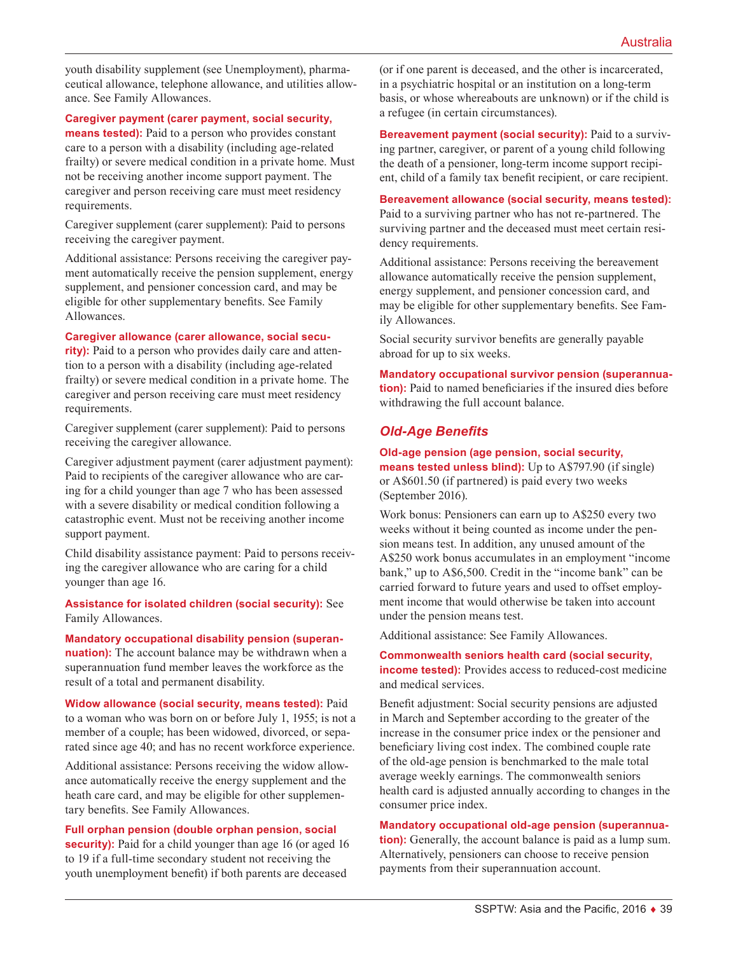youth disability supplement (see Unemployment), pharmaceutical allowance, telephone allowance, and utilities allowance. See Family Allowances.

#### **Caregiver payment (carer payment, social security,**

**means tested):** Paid to a person who provides constant care to a person with a disability (including age-related frailty) or severe medical condition in a private home. Must not be receiving another income support payment. The caregiver and person receiving care must meet residency requirements.

Caregiver supplement (carer supplement): Paid to persons receiving the caregiver payment.

Additional assistance: Persons receiving the caregiver payment automatically receive the pension supplement, energy supplement, and pensioner concession card, and may be eligible for other supplementary benefits. See Family Allowances.

#### **Caregiver allowance (carer allowance, social secu-**

**rity):** Paid to a person who provides daily care and attention to a person with a disability (including age-related frailty) or severe medical condition in a private home. The caregiver and person receiving care must meet residency requirements.

Caregiver supplement (carer supplement): Paid to persons receiving the caregiver allowance.

Caregiver adjustment payment (carer adjustment payment): Paid to recipients of the caregiver allowance who are caring for a child younger than age 7 who has been assessed with a severe disability or medical condition following a catastrophic event. Must not be receiving another income support payment.

Child disability assistance payment: Paid to persons receiving the caregiver allowance who are caring for a child younger than age 16.

**Assistance for isolated children (social security):** See Family Allowances.

**Mandatory occupational disability pension (superannuation):** The account balance may be withdrawn when a superannuation fund member leaves the workforce as the result of a total and permanent disability.

**Widow allowance (social security, means tested):** Paid to a woman who was born on or before July 1, 1955; is not a member of a couple; has been widowed, divorced, or separated since age 40; and has no recent workforce experience.

Additional assistance: Persons receiving the widow allowance automatically receive the energy supplement and the heath care card, and may be eligible for other supplementary benefits. See Family Allowances.

#### **Full orphan pension (double orphan pension, social**

**security):** Paid for a child younger than age 16 (or aged 16 to 19 if a full-time secondary student not receiving the youth unemployment benefit) if both parents are deceased

(or if one parent is deceased, and the other is incarcerated, in a psychiatric hospital or an institution on a long-term basis, or whose whereabouts are unknown) or if the child is a refugee (in certain circumstances).

**Bereavement payment (social security):** Paid to a surviving partner, caregiver, or parent of a young child following the death of a pensioner, long-term income support recipient, child of a family tax benefit recipient, or care recipient.

**Bereavement allowance (social security, means tested):** Paid to a surviving partner who has not re-partnered. The surviving partner and the deceased must meet certain residency requirements.

Additional assistance: Persons receiving the bereavement allowance automatically receive the pension supplement, energy supplement, and pensioner concession card, and may be eligible for other supplementary benefits. See Family Allowances.

Social security survivor benefits are generally payable abroad for up to six weeks.

**Mandatory occupational survivor pension (superannuation):** Paid to named beneficiaries if the insured dies before withdrawing the full account balance.

### *Old-Age Benefits*

**Old-age pension (age pension, social security, means tested unless blind):** Up to A\$797.90 (if single) or A\$601.50 (if partnered) is paid every two weeks (September 2016).

Work bonus: Pensioners can earn up to A\$250 every two weeks without it being counted as income under the pension means test. In addition, any unused amount of the A\$250 work bonus accumulates in an employment "income bank," up to A\$6,500. Credit in the "income bank" can be carried forward to future years and used to offset employment income that would otherwise be taken into account under the pension means test.

Additional assistance: See Family Allowances.

# **Commonwealth seniors health card (social security,**

**income tested):** Provides access to reduced-cost medicine and medical services.

Benefit adjustment: Social security pensions are adjusted in March and September according to the greater of the increase in the consumer price index or the pensioner and beneficiary living cost index. The combined couple rate of the old-age pension is benchmarked to the male total average weekly earnings. The commonwealth seniors health card is adjusted annually according to changes in the consumer price index.

#### **Mandatory occupational old-age pension (superannua-**

**tion):** Generally, the account balance is paid as a lump sum. Alternatively, pensioners can choose to receive pension payments from their superannuation account.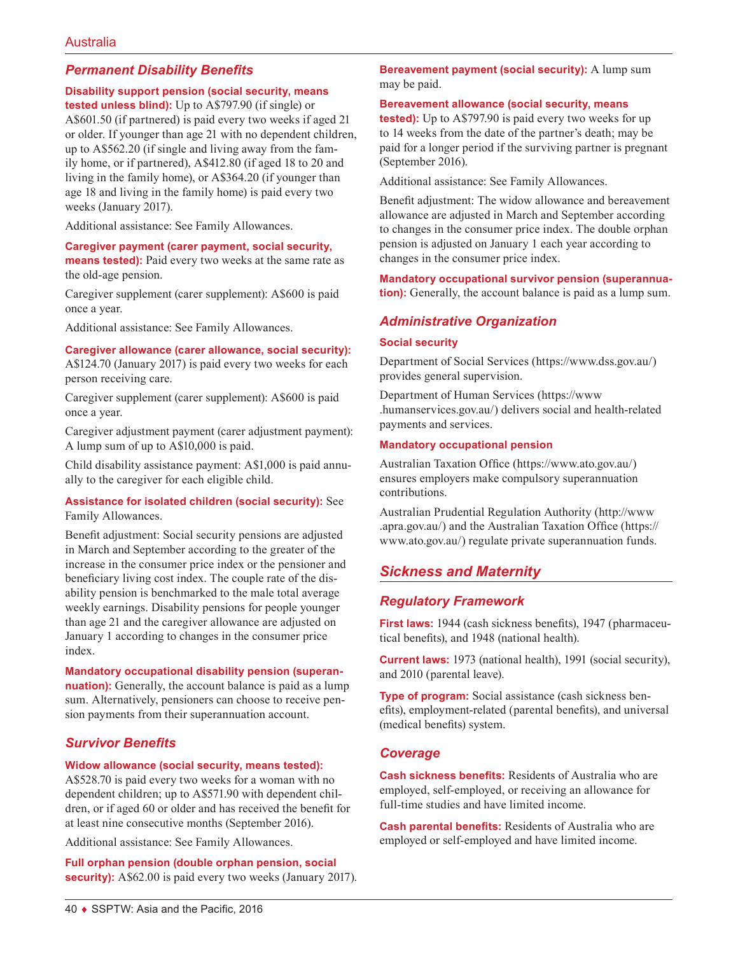# *Permanent Disability Benefits*

#### **Disability support pension (social security, means**

**tested unless blind):** Up to A\$797.90 (if single) or A\$601.50 (if partnered) is paid every two weeks if aged 21 or older. If younger than age 21 with no dependent children, up to A\$562.20 (if single and living away from the family home, or if partnered), A\$412.80 (if aged 18 to 20 and living in the family home), or A\$364.20 (if younger than age 18 and living in the family home) is paid every two weeks (January 2017).

Additional assistance: See Family Allowances.

**Caregiver payment (carer payment, social security, means tested):** Paid every two weeks at the same rate as the old-age pension.

Caregiver supplement (carer supplement): A\$600 is paid once a year.

Additional assistance: See Family Allowances.

#### **Caregiver allowance (carer allowance, social security):**

A\$124.70 (January 2017) is paid every two weeks for each person receiving care.

Caregiver supplement (carer supplement): A\$600 is paid once a year.

Caregiver adjustment payment (carer adjustment payment): A lump sum of up to A\$10,000 is paid.

Child disability assistance payment: A\$1,000 is paid annually to the caregiver for each eligible child.

### **Assistance for isolated children (social security):** See Family Allowances.

Benefit adjustment: Social security pensions are adjusted in March and September according to the greater of the increase in the consumer price index or the pensioner and beneficiary living cost index. The couple rate of the disability pension is benchmarked to the male total average weekly earnings. Disability pensions for people younger than age 21 and the caregiver allowance are adjusted on January 1 according to changes in the consumer price index.

### **Mandatory occupational disability pension (superan-**

**nuation):** Generally, the account balance is paid as a lump sum. Alternatively, pensioners can choose to receive pension payments from their superannuation account.

# *Survivor Benefits*

#### **Widow allowance (social security, means tested):**

A\$528.70 is paid every two weeks for a woman with no dependent children; up to A\$571.90 with dependent children, or if aged 60 or older and has received the benefit for at least nine consecutive months (September 2016).

Additional assistance: See Family Allowances.

**Full orphan pension (double orphan pension, social security):** A\$62.00 is paid every two weeks (January 2017). **Bereavement payment (social security):** A lump sum may be paid.

#### **Bereavement allowance (social security, means**

**tested):** Up to A\$797.90 is paid every two weeks for up to 14 weeks from the date of the partner's death; may be paid for a longer period if the surviving partner is pregnant (September 2016).

Additional assistance: See Family Allowances.

Benefit adjustment: The widow allowance and bereavement allowance are adjusted in March and September according to changes in the consumer price index. The double orphan pension is adjusted on January 1 each year according to changes in the consumer price index.

**Mandatory occupational survivor pension (superannuation):** Generally, the account balance is paid as a lump sum.

# *Administrative Organization*

#### **Social security**

Department of Social Services ([https://www.dss.gov.au](https://www.dss.gov.au/)/) provides general supervision.

Department of Human Services ([https://www](https://www.humanservices.gov.au/) [.humanservices.gov.au](https://www.humanservices.gov.au/)/) delivers social and health-related payments and services.

### **Mandatory occupational pension**

Australian Taxation Office (<https://www.ato.gov.au/>) ensures employers make compulsory superannuation contributions.

Australian Prudential Regulation Authority ([http://www](http://www.apra.gov.au/) [.apra.gov.au/](http://www.apra.gov.au/)) and the Australian Taxation Office ([https://](https://www.ato.gov.au/) [www.ato.gov.au/](https://www.ato.gov.au/)) regulate private superannuation funds.

# *Sickness and Maternity*

# *Regulatory Framework*

**First laws:** 1944 (cash sickness benefits), 1947 (pharmaceutical benefits), and 1948 (national health).

**Current laws:** 1973 (national health), 1991 (social security), and 2010 (parental leave).

**Type of program:** Social assistance (cash sickness benefits), employment-related (parental benefits), and universal (medical benefits) system.

# *Coverage*

**Cash sickness benefits:** Residents of Australia who are employed, self-employed, or receiving an allowance for full-time studies and have limited income.

**Cash parental benefits:** Residents of Australia who are employed or self-employed and have limited income.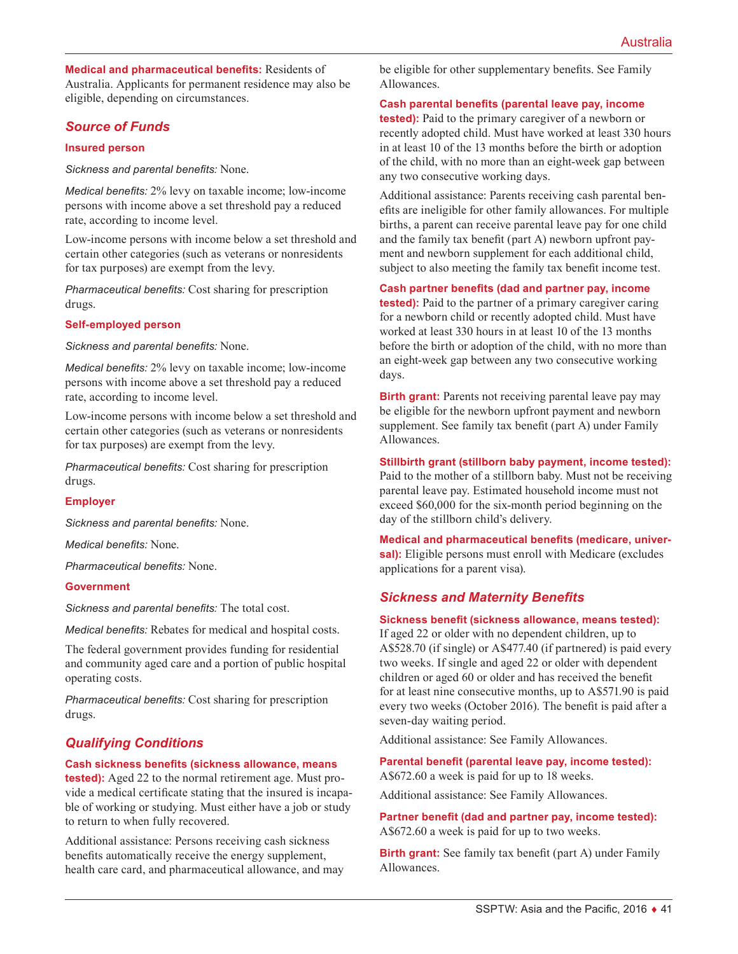**Medical and pharmaceutical benefits:** Residents of Australia. Applicants for permanent residence may also be eligible, depending on circumstances.

# *Source of Funds*

#### **Insured person**

*Sickness and parental benefits:* None.

*Medical benefits:* 2% levy on taxable income; low-income persons with income above a set threshold pay a reduced rate, according to income level.

Low-income persons with income below a set threshold and certain other categories (such as veterans or nonresidents for tax purposes) are exempt from the levy.

*Pharmaceutical benefits:* Cost sharing for prescription drugs.

#### **Self-employed person**

*Sickness and parental benefits:* None.

*Medical benefits:* 2% levy on taxable income; low-income persons with income above a set threshold pay a reduced rate, according to income level.

Low-income persons with income below a set threshold and certain other categories (such as veterans or nonresidents for tax purposes) are exempt from the levy.

*Pharmaceutical benefits:* Cost sharing for prescription drugs.

### **Employer**

*Sickness and parental benefits:* None.

*Medical benefits:* None.

*Pharmaceutical benefits:* None.

#### **Government**

*Sickness and parental benefits:* The total cost.

*Medical benefits:* Rebates for medical and hospital costs.

The federal government provides funding for residential and community aged care and a portion of public hospital operating costs.

*Pharmaceutical benefits:* Cost sharing for prescription drugs.

# *Qualifying Conditions*

#### **Cash sickness benefits (sickness allowance, means**

**tested):** Aged 22 to the normal retirement age. Must provide a medical certificate stating that the insured is incapable of working or studying. Must either have a job or study to return to when fully recovered.

Additional assistance: Persons receiving cash sickness benefits automatically receive the energy supplement, health care card, and pharmaceutical allowance, and may be eligible for other supplementary benefits. See Family Allowances.

#### **Cash parental benefits (parental leave pay, income**

**tested):** Paid to the primary caregiver of a newborn or recently adopted child. Must have worked at least 330 hours in at least 10 of the 13 months before the birth or adoption of the child, with no more than an eight-week gap between any two consecutive working days.

Additional assistance: Parents receiving cash parental benefits are ineligible for other family allowances. For multiple births, a parent can receive parental leave pay for one child and the family tax benefit (part A) newborn upfront payment and newborn supplement for each additional child, subject to also meeting the family tax benefit income test.

#### **Cash partner benefits (dad and partner pay, income**

**tested):** Paid to the partner of a primary caregiver caring for a newborn child or recently adopted child. Must have worked at least 330 hours in at least 10 of the 13 months before the birth or adoption of the child, with no more than an eight-week gap between any two consecutive working days.

**Birth grant:** Parents not receiving parental leave pay may be eligible for the newborn upfront payment and newborn supplement. See family tax benefit (part A) under Family Allowances.

### **Stillbirth grant (stillborn baby payment, income tested):**

Paid to the mother of a stillborn baby. Must not be receiving parental leave pay. Estimated household income must not exceed \$60,000 for the six-month period beginning on the day of the stillborn child's delivery.

**Medical and pharmaceutical benefits (medicare, universal):** Eligible persons must enroll with Medicare (excludes applications for a parent visa).

# *Sickness and Maternity Benefits*

#### **Sickness benefit (sickness allowance, means tested):**

If aged 22 or older with no dependent children, up to A\$528.70 (if single) or A\$477.40 (if partnered) is paid every two weeks. If single and aged 22 or older with dependent children or aged 60 or older and has received the benefit for at least nine consecutive months, up to A\$571.90 is paid every two weeks (October 2016). The benefit is paid after a seven-day waiting period.

Additional assistance: See Family Allowances.

**Parental benefit (parental leave pay, income tested):** A\$672.60 a week is paid for up to 18 weeks.

Additional assistance: See Family Allowances.

**Partner benefit (dad and partner pay, income tested):** A\$672.60 a week is paid for up to two weeks.

**Birth grant:** See family tax benefit (part A) under Family Allowances.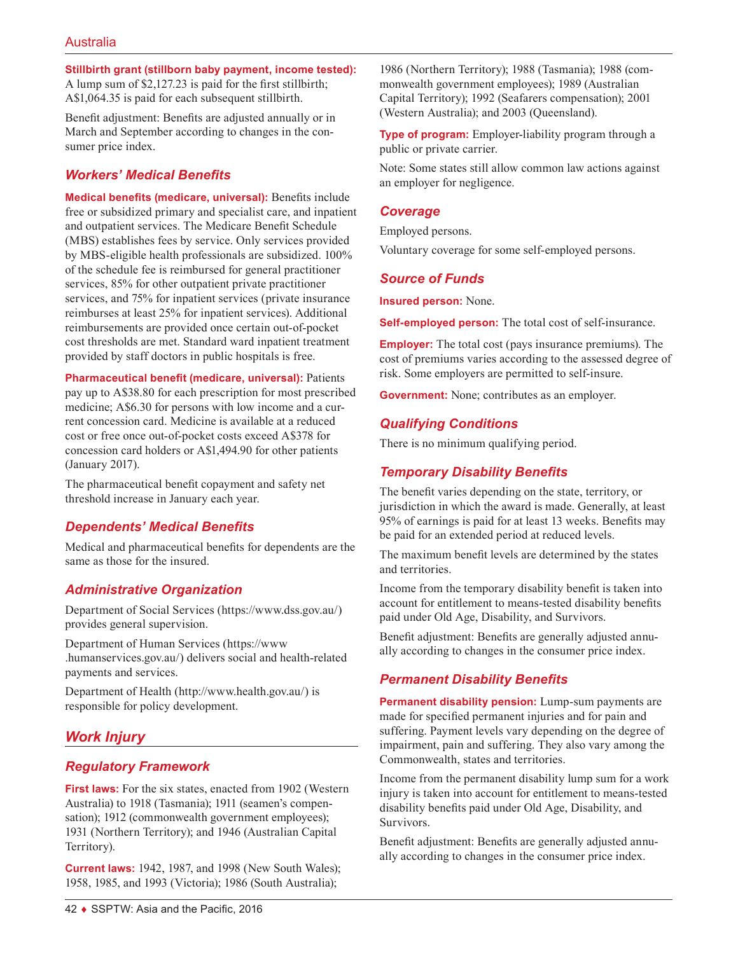**Stillbirth grant (stillborn baby payment, income tested):**

A lump sum of \$2,127.23 is paid for the first stillbirth; A\$1,064.35 is paid for each subsequent stillbirth.

Benefit adjustment: Benefits are adjusted annually or in March and September according to changes in the consumer price index.

# *Workers' Medical Benefits*

**Medical benefits (medicare, universal):** Benefits include free or subsidized primary and specialist care, and inpatient and outpatient services. The Medicare Benefit Schedule (MBS) establishes fees by service. Only services provided by MBS-eligible health professionals are subsidized. 100% of the schedule fee is reimbursed for general practitioner services, 85% for other outpatient private practitioner services, and 75% for inpatient services (private insurance reimburses at least 25% for inpatient services). Additional reimbursements are provided once certain out-of-pocket cost thresholds are met. Standard ward inpatient treatment provided by staff doctors in public hospitals is free.

**Pharmaceutical benefit (medicare, universal):** Patients pay up to A\$38.80 for each prescription for most prescribed medicine; A\$6.30 for persons with low income and a current concession card. Medicine is available at a reduced cost or free once out-of-pocket costs exceed A\$378 for concession card holders or A\$1,494.90 for other patients (January 2017).

The pharmaceutical benefit copayment and safety net threshold increase in January each year.

# *Dependents' Medical Benefits*

Medical and pharmaceutical benefits for dependents are the same as those for the insured.

# *Administrative Organization*

Department of Social Services ([https://www.dss.gov.au](https://www.dss.gov.au/)/) provides general supervision.

Department of Human Services ([https://www](https://www.humanservices.gov.au/) [.humanservices.gov.au](https://www.humanservices.gov.au/)/) delivers social and health-related payments and services.

Department of Health [\(http://www.health.gov.au/](http://www.health.gov.au/)) is responsible for policy development.

# *Work Injury*

# *Regulatory Framework*

**First laws:** For the six states, enacted from 1902 (Western Australia) to 1918 (Tasmania); 1911 (seamen's compensation); 1912 (commonwealth government employees); 1931 (Northern Territory); and 1946 (Australian Capital Territory).

**Current laws:** 1942, 1987, and 1998 (New South Wales); 1958, 1985, and 1993 (Victoria); 1986 (South Australia);

1986 (Northern Territory); 1988 (Tasmania); 1988 (commonwealth government employees); 1989 (Australian Capital Territory); 1992 (Seafarers compensation); 2001 (Western Australia); and 2003 (Queensland).

**Type of program:** Employer-liability program through a public or private carrier.

Note: Some states still allow common law actions against an employer for negligence.

### *Coverage*

Employed persons.

Voluntary coverage for some self-employed persons.

# *Source of Funds*

**Insured person:** None.

**Self-employed person:** The total cost of self-insurance.

**Employer:** The total cost (pays insurance premiums). The cost of premiums varies according to the assessed degree of risk. Some employers are permitted to self-insure.

**Government:** None; contributes as an employer.

# *Qualifying Conditions*

There is no minimum qualifying period.

# *Temporary Disability Benefits*

The benefit varies depending on the state, territory, or jurisdiction in which the award is made. Generally, at least 95% of earnings is paid for at least 13 weeks. Benefits may be paid for an extended period at reduced levels.

The maximum benefit levels are determined by the states and territories.

Income from the temporary disability benefit is taken into account for entitlement to means-tested disability benefits paid under Old Age, Disability, and Survivors.

Benefit adjustment: Benefits are generally adjusted annually according to changes in the consumer price index.

# *Permanent Disability Benefits*

**Permanent disability pension:** Lump-sum payments are made for specified permanent injuries and for pain and suffering. Payment levels vary depending on the degree of impairment, pain and suffering. They also vary among the Commonwealth, states and territories.

Income from the permanent disability lump sum for a work injury is taken into account for entitlement to means-tested disability benefits paid under Old Age, Disability, and Survivors.

Benefit adjustment: Benefits are generally adjusted annually according to changes in the consumer price index.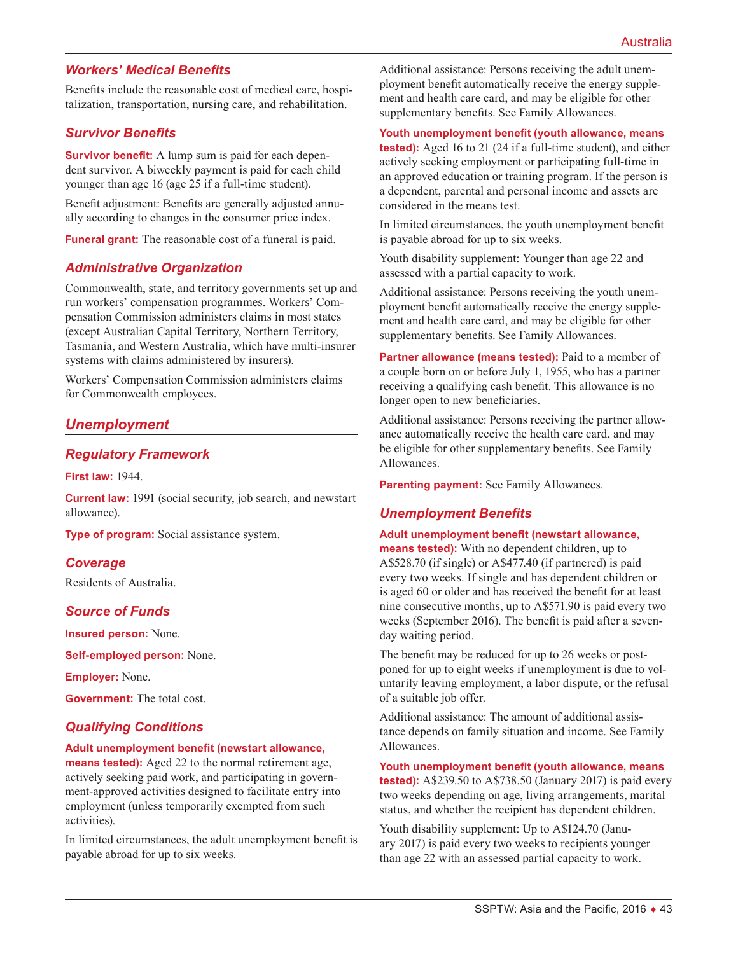# *Workers' Medical Benefits*

Benefits include the reasonable cost of medical care, hospitalization, transportation, nursing care, and rehabilitation.

# *Survivor Benefits*

**Survivor benefit:** A lump sum is paid for each dependent survivor. A biweekly payment is paid for each child younger than age 16 (age 25 if a full-time student).

Benefit adjustment: Benefits are generally adjusted annually according to changes in the consumer price index.

**Funeral grant:** The reasonable cost of a funeral is paid.

# *Administrative Organization*

Commonwealth, state, and territory governments set up and run workers' compensation programmes. Workers' Compensation Commission administers claims in most states (except Australian Capital Territory, Northern Territory, Tasmania, and Western Australia, which have multi-insurer systems with claims administered by insurers).

Workers' Compensation Commission administers claims for Commonwealth employees.

# *Unemployment*

# *Regulatory Framework*

**First law:** 1944.

**Current law:** 1991 (social security, job search, and newstart allowance).

**Type of program:** Social assistance system.

### *Coverage*

Residents of Australia.

# *Source of Funds*

**Insured person:** None.

**Self-employed person:** None.

**Employer:** None.

**Government:** The total cost.

# *Qualifying Conditions*

#### **Adult unemployment benefit (newstart allowance,**

**means tested):** Aged 22 to the normal retirement age, actively seeking paid work, and participating in government-approved activities designed to facilitate entry into employment (unless temporarily exempted from such activities).

In limited circumstances, the adult unemployment benefit is payable abroad for up to six weeks.

Additional assistance: Persons receiving the adult unemployment benefit automatically receive the energy supplement and health care card, and may be eligible for other supplementary benefits. See Family Allowances.

#### **Youth unemployment benefit (youth allowance, means**

**tested):** Aged 16 to 21 (24 if a full-time student), and either actively seeking employment or participating full-time in an approved education or training program. If the person is a dependent, parental and personal income and assets are considered in the means test.

In limited circumstances, the youth unemployment benefit is payable abroad for up to six weeks.

Youth disability supplement: Younger than age 22 and assessed with a partial capacity to work.

Additional assistance: Persons receiving the youth unemployment benefit automatically receive the energy supplement and health care card, and may be eligible for other supplementary benefits. See Family Allowances.

**Partner allowance (means tested):** Paid to a member of a couple born on or before July 1, 1955, who has a partner receiving a qualifying cash benefit. This allowance is no longer open to new beneficiaries.

Additional assistance: Persons receiving the partner allowance automatically receive the health care card, and may be eligible for other supplementary benefits. See Family Allowances.

**Parenting payment:** See Family Allowances.

### *Unemployment Benefits*

#### **Adult unemployment benefit (newstart allowance,**

**means tested):** With no dependent children, up to A\$528.70 (if single) or A\$477.40 (if partnered) is paid every two weeks. If single and has dependent children or is aged 60 or older and has received the benefit for at least nine consecutive months, up to A\$571.90 is paid every two weeks (September 2016). The benefit is paid after a sevenday waiting period.

The benefit may be reduced for up to 26 weeks or postponed for up to eight weeks if unemployment is due to voluntarily leaving employment, a labor dispute, or the refusal of a suitable job offer.

Additional assistance: The amount of additional assistance depends on family situation and income. See Family Allowances.

**Youth unemployment benefit (youth allowance, means tested):** A\$239.50 to A\$738.50 (January 2017) is paid every two weeks depending on age, living arrangements, marital status, and whether the recipient has dependent children.

Youth disability supplement: Up to A\$124.70 (January 2017) is paid every two weeks to recipients younger than age 22 with an assessed partial capacity to work.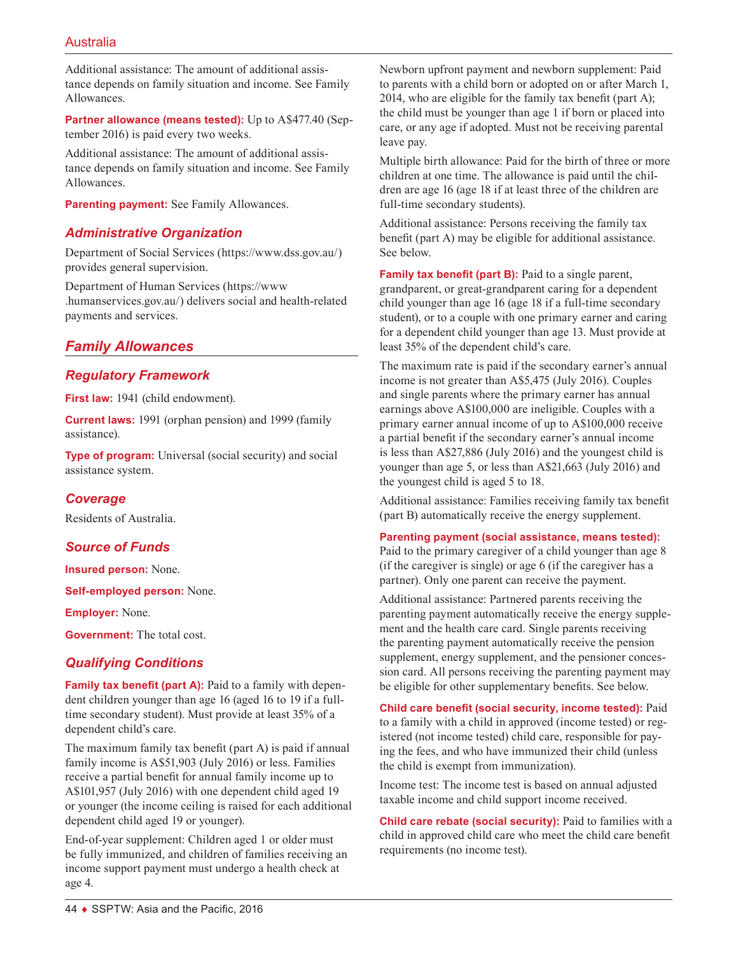Additional assistance: The amount of additional assistance depends on family situation and income. See Family Allowances.

**Partner allowance (means tested):** Up to A\$477.40 (September 2016) is paid every two weeks.

Additional assistance: The amount of additional assistance depends on family situation and income. See Family Allowances.

**Parenting payment:** See Family Allowances.

# *Administrative Organization*

Department of Social Services ([https://www.dss.gov.au](https://www.dss.gov.au/)/) provides general supervision.

Department of Human Services ([https://www](https://www.humanservices.gov.au/) [.humanservices.gov.au](https://www.humanservices.gov.au/)/) delivers social and health-related payments and services.

# *Family Allowances*

# *Regulatory Framework*

First law: 1941 (child endowment).

**Current laws:** 1991 (orphan pension) and 1999 (family assistance).

**Type of program:** Universal (social security) and social assistance system.

# *Coverage*

Residents of Australia.

# *Source of Funds*

**Insured person:** None.

**Self-employed person:** None.

**Employer:** None.

**Government:** The total cost.

# *Qualifying Conditions*

**Family tax benefit (part A):** Paid to a family with dependent children younger than age 16 (aged 16 to 19 if a fulltime secondary student). Must provide at least 35% of a dependent child's care.

The maximum family tax benefit (part A) is paid if annual family income is A\$51,903 (July 2016) or less. Families receive a partial benefit for annual family income up to A\$101,957 (July 2016) with one dependent child aged 19 or younger (the income ceiling is raised for each additional dependent child aged 19 or younger).

End-of-year supplement: Children aged 1 or older must be fully immunized, and children of families receiving an income support payment must undergo a health check at age 4.

Newborn upfront payment and newborn supplement: Paid to parents with a child born or adopted on or after March 1, 2014, who are eligible for the family tax benefit (part A); the child must be younger than age 1 if born or placed into care, or any age if adopted. Must not be receiving parental leave pay.

Multiple birth allowance: Paid for the birth of three or more children at one time. The allowance is paid until the children are age 16 (age 18 if at least three of the children are full-time secondary students).

Additional assistance: Persons receiving the family tax benefit (part A) may be eligible for additional assistance. See below.

**Family tax benefit (part B):** Paid to a single parent, grandparent, or great-grandparent caring for a dependent child younger than age 16 (age 18 if a full-time secondary student), or to a couple with one primary earner and caring for a dependent child younger than age 13. Must provide at least 35% of the dependent child's care.

The maximum rate is paid if the secondary earner's annual income is not greater than A\$5,475 (July 2016). Couples and single parents where the primary earner has annual earnings above A\$100,000 are ineligible. Couples with a primary earner annual income of up to A\$100,000 receive a partial benefit if the secondary earner's annual income is less than A\$27,886 (July 2016) and the youngest child is younger than age 5, or less than A\$21,663 (July 2016) and the youngest child is aged 5 to 18.

Additional assistance: Families receiving family tax benefit (part B) automatically receive the energy supplement.

### **Parenting payment (social assistance, means tested):**

Paid to the primary caregiver of a child younger than age 8 (if the caregiver is single) or age 6 (if the caregiver has a partner). Only one parent can receive the payment.

Additional assistance: Partnered parents receiving the parenting payment automatically receive the energy supplement and the health care card. Single parents receiving the parenting payment automatically receive the pension supplement, energy supplement, and the pensioner concession card. All persons receiving the parenting payment may be eligible for other supplementary benefits. See below.

**Child care benefit (social security, income tested):** Paid to a family with a child in approved (income tested) or registered (not income tested) child care, responsible for paying the fees, and who have immunized their child (unless the child is exempt from immunization).

Income test: The income test is based on annual adjusted taxable income and child support income received.

**Child care rebate (social security):** Paid to families with a child in approved child care who meet the child care benefit requirements (no income test).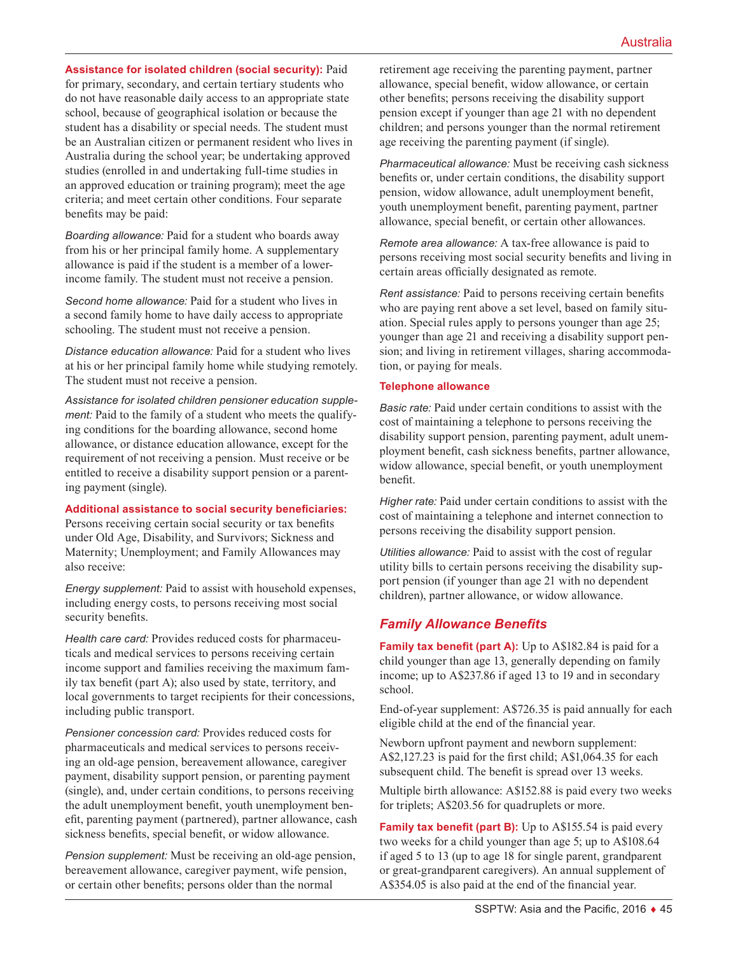**Assistance for isolated children (social security):** Paid for primary, secondary, and certain tertiary students who do not have reasonable daily access to an appropriate state school, because of geographical isolation or because the student has a disability or special needs. The student must be an Australian citizen or permanent resident who lives in Australia during the school year; be undertaking approved studies (enrolled in and undertaking full-time studies in an approved education or training program); meet the age criteria; and meet certain other conditions. Four separate benefits may be paid:

*Boarding allowance:* Paid for a student who boards away from his or her principal family home. A supplementary allowance is paid if the student is a member of a lowerincome family. The student must not receive a pension.

*Second home allowance:* Paid for a student who lives in a second family home to have daily access to appropriate schooling. The student must not receive a pension.

*Distance education allowance:* Paid for a student who lives at his or her principal family home while studying remotely. The student must not receive a pension.

*Assistance for isolated children pensioner education supplement:* Paid to the family of a student who meets the qualifying conditions for the boarding allowance, second home allowance, or distance education allowance, except for the requirement of not receiving a pension. Must receive or be entitled to receive a disability support pension or a parenting payment (single).

### **Additional assistance to social security beneficiaries:**

Persons receiving certain social security or tax benefits under Old Age, Disability, and Survivors; Sickness and Maternity; Unemployment; and Family Allowances may also receive:

*Energy supplement:* Paid to assist with household expenses, including energy costs, to persons receiving most social security benefits.

*Health care card:* Provides reduced costs for pharmaceuticals and medical services to persons receiving certain income support and families receiving the maximum family tax benefit (part A); also used by state, territory, and local governments to target recipients for their concessions, including public transport.

*Pensioner concession card:* Provides reduced costs for pharmaceuticals and medical services to persons receiving an old-age pension, bereavement allowance, caregiver payment, disability support pension, or parenting payment (single), and, under certain conditions, to persons receiving the adult unemployment benefit, youth unemployment benefit, parenting payment (partnered), partner allowance, cash sickness benefits, special benefit, or widow allowance.

*Pension supplement:* Must be receiving an old-age pension, bereavement allowance, caregiver payment, wife pension, or certain other benefits; persons older than the normal

retirement age receiving the parenting payment, partner allowance, special benefit, widow allowance, or certain other benefits; persons receiving the disability support pension except if younger than age 21 with no dependent children; and persons younger than the normal retirement age receiving the parenting payment (if single).

*Pharmaceutical allowance:* Must be receiving cash sickness benefits or, under certain conditions, the disability support pension, widow allowance, adult unemployment benefit, youth unemployment benefit, parenting payment, partner allowance, special benefit, or certain other allowances.

*Remote area allowance:* A tax-free allowance is paid to persons receiving most social security benefits and living in certain areas officially designated as remote.

*Rent assistance:* Paid to persons receiving certain benefits who are paying rent above a set level, based on family situation. Special rules apply to persons younger than age 25; younger than age 21 and receiving a disability support pension; and living in retirement villages, sharing accommodation, or paying for meals.

### **Telephone allowance**

*Basic rate:* Paid under certain conditions to assist with the cost of maintaining a telephone to persons receiving the disability support pension, parenting payment, adult unemployment benefit, cash sickness benefits, partner allowance, widow allowance, special benefit, or youth unemployment benefit.

*Higher rate:* Paid under certain conditions to assist with the cost of maintaining a telephone and internet connection to persons receiving the disability support pension.

*Utilities allowance:* Paid to assist with the cost of regular utility bills to certain persons receiving the disability support pension (if younger than age 21 with no dependent children), partner allowance, or widow allowance.

# *Family Allowance Benefits*

**Family tax benefit (part A):** Up to A\$182.84 is paid for a child younger than age 13, generally depending on family income; up to A\$237.86 if aged 13 to 19 and in secondary school.

End-of-year supplement: A\$726.35 is paid annually for each eligible child at the end of the financial year.

Newborn upfront payment and newborn supplement: A\$2,127.23 is paid for the first child; A\$1,064.35 for each subsequent child. The benefit is spread over 13 weeks.

Multiple birth allowance: A\$152.88 is paid every two weeks for triplets; A\$203.56 for quadruplets or more.

**Family tax benefit (part B):** Up to A\$155.54 is paid every two weeks for a child younger than age 5; up to A\$108.64 if aged 5 to 13 (up to age 18 for single parent, grandparent or great-grandparent caregivers). An annual supplement of A\$354.05 is also paid at the end of the financial year.